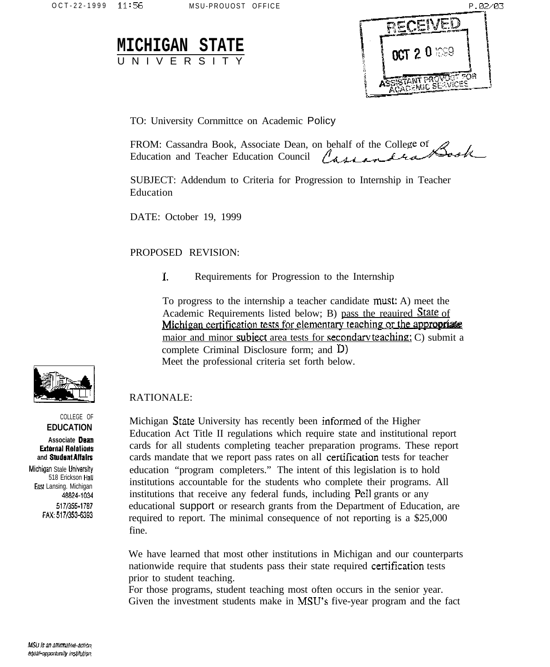| <b>MICHIGAN STATE</b> |  |  |  |  |            |  |  |  |  |
|-----------------------|--|--|--|--|------------|--|--|--|--|
|                       |  |  |  |  | UNIVERSITY |  |  |  |  |



TO: University Cornmittee on Academic Policy

| FROM: Cassandra Book, Associate Dean, on behalf of the College of $\mathscr{Q}$ |                                                         |
|---------------------------------------------------------------------------------|---------------------------------------------------------|
|                                                                                 | "ducation and Teacher Education Council Casacandra Hook |

SUBJECT: Addendum to Criteria for Progression to Internship in Teacher Education

DATE: October 19, 1999

## PROPOSED REVISION:

 $\mathbf{L}$ Requirements for Progression to the Internship

To progress to the internship a teacher candidate must: A) meet the Academic Requirements listed below; B) pass the reautred State of Michigan certification tests for elementary teaching or the appropriate maior and minor subject area tests for secondary teaching; C) submit a complete Criminal Disclosure form: and  $D$ ) Meet the professional criteria set forth below.

## RATIONALE:

Michigan State University has recently been informed of the Higher Education Act Title II regulations which require state and institutional report cards for all students completing teacher preparation programs. These report cards mandate that we report pass rates on all certification tests for teacher education "program completers." The intent of this legislation is to hold institutions accountable for the students who complete their programs. All institutions that receive any federal funds, including Pell grants or any educational support or research grants from the Department of Education, are required to report. The minimal consequence of not reporting is a \$25,000 fine

We have learned that most other institutions in Michigan and our counterparts nationwide require that students pass their state required certification tests prior to student teaching.

For those programs, student teaching most often occurs in the senior year. Given the investment students make in MSU's five-year program and the fact



COLLEGE OF **EDUCATION** 

Associate Dean **External Relations** and Student Affairs

Michigan Stale University 518 Erickson Hall East Lansing. Michigan 48824-1034 517/355-1787 FAX: 517/353-6393